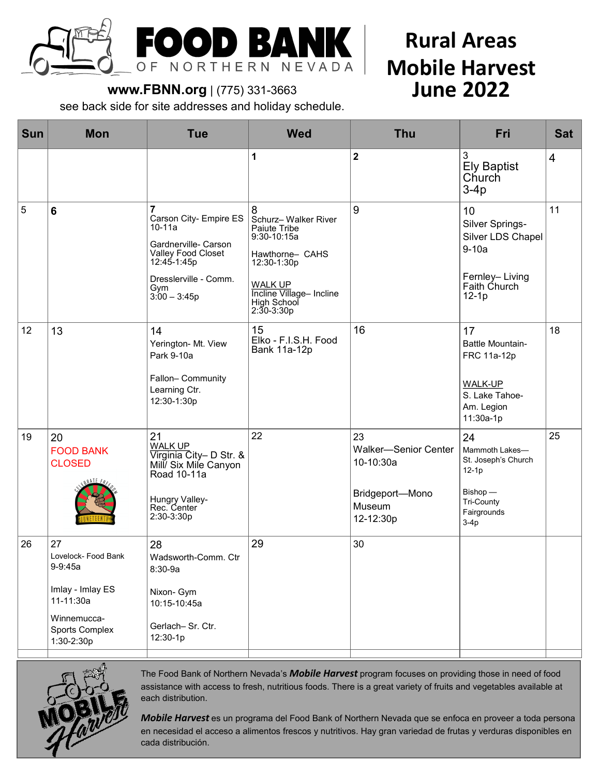

# **Rural Areas Mobile Harvest June 2022**

## **www.FBNN.org** | (775) 331-3663

see back side for site addresses and holiday schedule.

| <b>Sun</b> | <b>Mon</b>                                                                                                           | <b>Tue</b>                                                                                                                                                        | <b>Wed</b>                                                                                                                                                                 | <b>Thu</b>                                                                               | Fri                                                                                                       | <b>Sat</b>     |
|------------|----------------------------------------------------------------------------------------------------------------------|-------------------------------------------------------------------------------------------------------------------------------------------------------------------|----------------------------------------------------------------------------------------------------------------------------------------------------------------------------|------------------------------------------------------------------------------------------|-----------------------------------------------------------------------------------------------------------|----------------|
|            |                                                                                                                      |                                                                                                                                                                   | 1                                                                                                                                                                          | $\mathbf 2$                                                                              | 3<br><b>Ely Baptist</b><br>Church<br>$3-4p$                                                               | $\overline{4}$ |
| 5          | $6\phantom{a}$                                                                                                       | $\overline{7}$<br>Carson City- Empire ES<br>10-11a<br>Gardnerville- Carson<br>Valley Food Closet<br>12:45-1:45p<br>Dresslerville - Comm.<br>Gym<br>$3:00 - 3:45p$ | 8<br>Schurz-Walker River<br>Paiute Tribe<br>$9:30 - 10:15a$<br>Hawthorne- CAHS<br>12:30-1:30p<br><b>WALK UP</b><br>Incline Village- Incline<br>High School<br>$2:30-3:30p$ | 9                                                                                        | 10<br>Silver Springs-<br>Silver LDS Chapel<br>$9-10a$<br>Fernley-Living<br>Faith Church<br>$12-1p$        | 11             |
| 12         | 13                                                                                                                   | 14<br>Yerington- Mt. View<br>Park 9-10a<br>Fallon- Community<br>Learning Ctr.<br>12:30-1:30p                                                                      | 15<br>Elko - F.I.S.H. Food<br><b>Bank 11a-12p</b>                                                                                                                          | 16                                                                                       | 17<br><b>Battle Mountain-</b><br>FRC 11a-12p<br>WALK-UP<br>S. Lake Tahoe-<br>Am. Legion<br>11:30a-1p      | 18             |
| 19         | 20<br><b>FOOD BANK</b><br><b>CLOSED</b>                                                                              | 21<br><b>WALK UP</b><br>Virginia City- D Str. &<br>Mill/ Six Mile Canyon<br>Road 10-11a<br>Hungry Valley-<br>Rec. Center<br>2:30-3:30p                            | 22                                                                                                                                                                         | 23<br><b>Walker-Senior Center</b><br>10-10:30a<br>Bridgeport-Mono<br>Museum<br>12-12:30p | 24<br>Mammoth Lakes-<br>St. Joseph's Church<br>$12-1p$<br>Bishop -<br>Tri-County<br>Fairgrounds<br>$3-4p$ | 25             |
| 26         | 27<br>Lovelock- Food Bank<br>9-9:45a<br>Imlay - Imlay ES<br>11-11:30a<br>Winnemucca-<br>Sports Complex<br>1:30-2:30p | 28<br>Wadsworth-Comm. Ctr<br>8:30-9a<br>Nixon- Gym<br>10:15-10:45a<br>Gerlach-Sr. Ctr.<br>12:30-1p                                                                | 29                                                                                                                                                                         | 30                                                                                       |                                                                                                           |                |



The Food Bank of Northern Nevada's *Mobile Harvest* program focuses on providing those in need of food assistance with access to fresh, nutritious foods. There is a great variety of fruits and vegetables available at each distribution.

*Mobile Harvest* es un programa del Food Bank of Northern Nevada que se enfoca en proveer a toda persona en necesidad el acceso a alimentos frescos y nutritivos. Hay gran variedad de frutas y verduras disponibles en cada distribución.